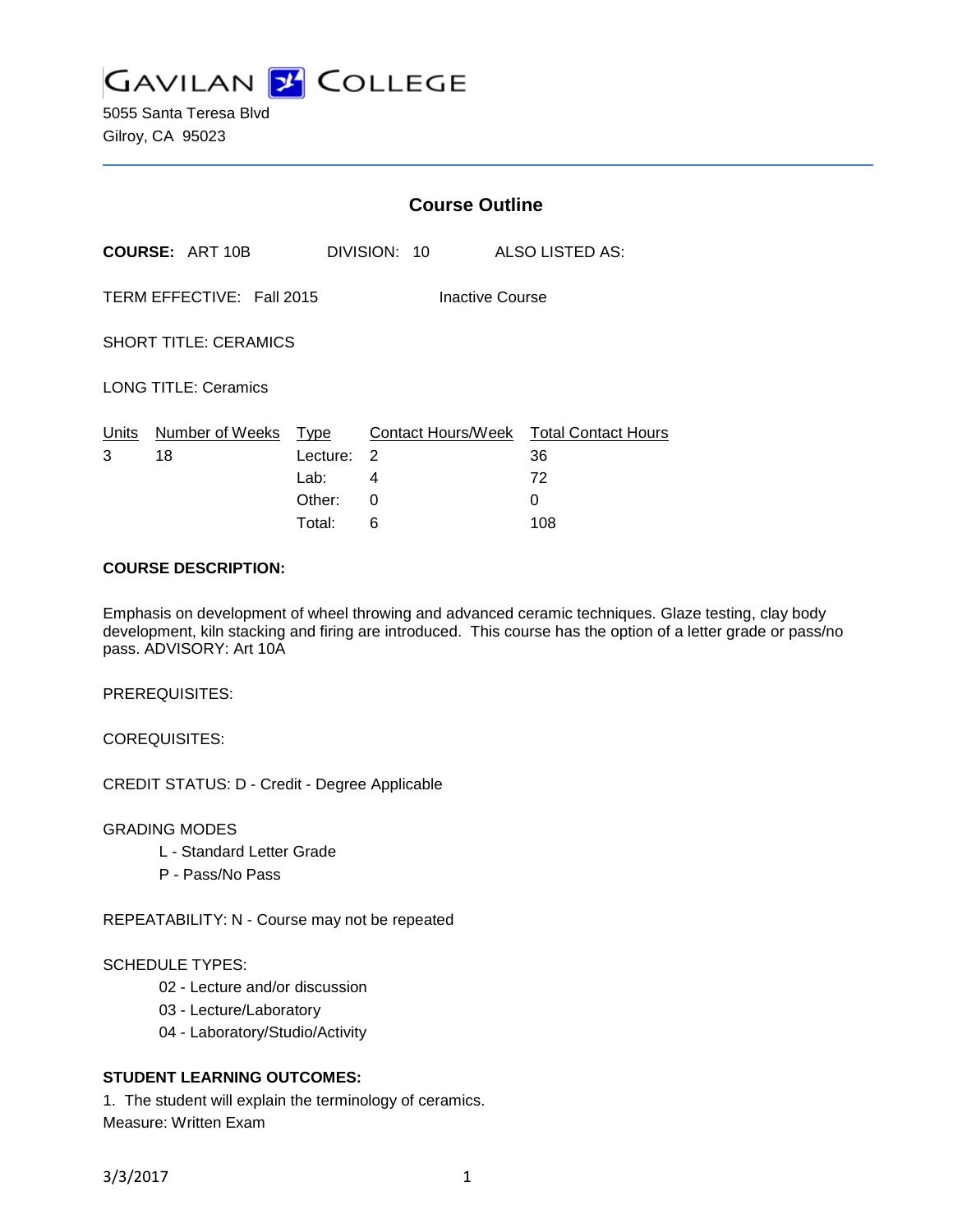

5055 Santa Teresa Blvd Gilroy, CA 95023

|                                              |                        | <b>Course Outline</b> |              |  |                                        |
|----------------------------------------------|------------------------|-----------------------|--------------|--|----------------------------------------|
|                                              | <b>COURSE: ART 10B</b> |                       | DIVISION: 10 |  | ALSO LISTED AS:                        |
| TERM EFFECTIVE: Fall 2015<br>Inactive Course |                        |                       |              |  |                                        |
| <b>SHORT TITLE: CERAMICS</b>                 |                        |                       |              |  |                                        |
| <b>LONG TITLE: Ceramics</b>                  |                        |                       |              |  |                                        |
| Units                                        | Number of Weeks        | <u>Type</u>           |              |  | Contact Hours/Week Total Contact Hours |
| 3                                            | 18                     | Lecture:              | 2            |  | 36                                     |
|                                              |                        | Lab:                  | 4            |  | 72                                     |
|                                              |                        | Other:                | 0            |  | 0                                      |
|                                              |                        | Total:                | 6            |  | 108                                    |

## **COURSE DESCRIPTION:**

Emphasis on development of wheel throwing and advanced ceramic techniques. Glaze testing, clay body development, kiln stacking and firing are introduced. This course has the option of a letter grade or pass/no pass. ADVISORY: Art 10A

PREREQUISITES:

COREQUISITES:

CREDIT STATUS: D - Credit - Degree Applicable

GRADING MODES

- L Standard Letter Grade
- P Pass/No Pass

REPEATABILITY: N - Course may not be repeated

## SCHEDULE TYPES:

- 02 Lecture and/or discussion
- 03 Lecture/Laboratory
- 04 Laboratory/Studio/Activity

# **STUDENT LEARNING OUTCOMES:**

1. The student will explain the terminology of ceramics. Measure: Written Exam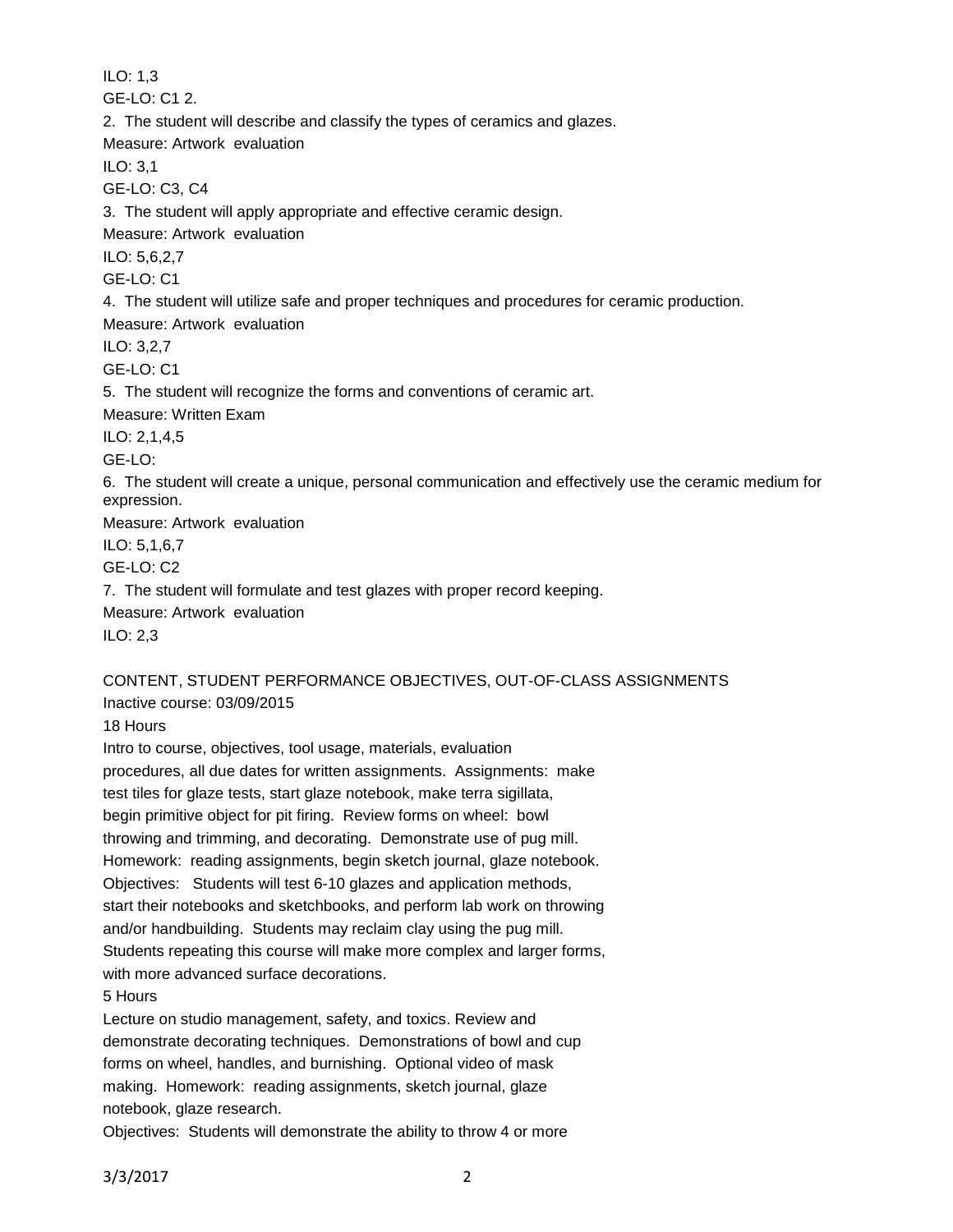ILO: 1,3 GE-LO: C1 2. 2. The student will describe and classify the types of ceramics and glazes. Measure: Artwork evaluation ILO: 3,1 GE-LO: C3, C4 3. The student will apply appropriate and effective ceramic design. Measure: Artwork evaluation ILO: 5,6,2,7 GE-LO: C1 4. The student will utilize safe and proper techniques and procedures for ceramic production. Measure: Artwork evaluation ILO: 3,2,7 GE-LO: C1 5. The student will recognize the forms and conventions of ceramic art. Measure: Written Exam ILO: 2,1,4,5 GE-LO: 6. The student will create a unique, personal communication and effectively use the ceramic medium for expression. Measure: Artwork evaluation ILO: 5,1,6,7 GE-LO: C2 7. The student will formulate and test glazes with proper record keeping. Measure: Artwork evaluation ILO: 2,3

# CONTENT, STUDENT PERFORMANCE OBJECTIVES, OUT-OF-CLASS ASSIGNMENTS Inactive course: 03/09/2015

18 Hours

Intro to course, objectives, tool usage, materials, evaluation procedures, all due dates for written assignments. Assignments: make test tiles for glaze tests, start glaze notebook, make terra sigillata, begin primitive object for pit firing. Review forms on wheel: bowl throwing and trimming, and decorating. Demonstrate use of pug mill. Homework: reading assignments, begin sketch journal, glaze notebook. Objectives: Students will test 6-10 glazes and application methods, start their notebooks and sketchbooks, and perform lab work on throwing and/or handbuilding. Students may reclaim clay using the pug mill. Students repeating this course will make more complex and larger forms, with more advanced surface decorations.

5 Hours

Lecture on studio management, safety, and toxics. Review and demonstrate decorating techniques. Demonstrations of bowl and cup forms on wheel, handles, and burnishing. Optional video of mask making. Homework: reading assignments, sketch journal, glaze notebook, glaze research.

Objectives: Students will demonstrate the ability to throw 4 or more

3/3/2017 2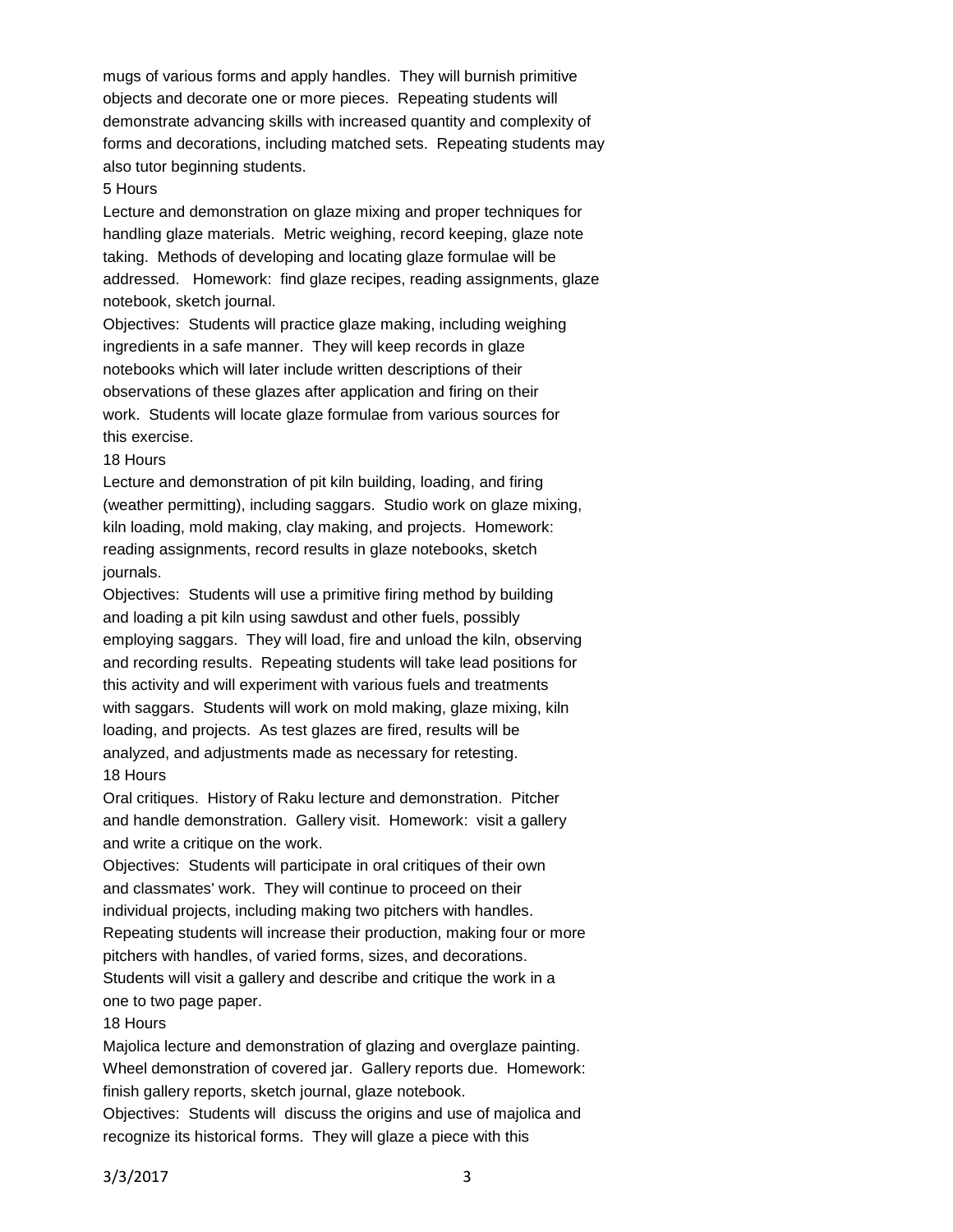mugs of various forms and apply handles. They will burnish primitive objects and decorate one or more pieces. Repeating students will demonstrate advancing skills with increased quantity and complexity of forms and decorations, including matched sets. Repeating students may also tutor beginning students.

#### 5 Hours

Lecture and demonstration on glaze mixing and proper techniques for handling glaze materials. Metric weighing, record keeping, glaze note taking. Methods of developing and locating glaze formulae will be addressed. Homework: find glaze recipes, reading assignments, glaze notebook, sketch journal.

Objectives: Students will practice glaze making, including weighing ingredients in a safe manner. They will keep records in glaze notebooks which will later include written descriptions of their observations of these glazes after application and firing on their work. Students will locate glaze formulae from various sources for this exercise.

### 18 Hours

Lecture and demonstration of pit kiln building, loading, and firing (weather permitting), including saggars. Studio work on glaze mixing, kiln loading, mold making, clay making, and projects. Homework: reading assignments, record results in glaze notebooks, sketch journals.

Objectives: Students will use a primitive firing method by building and loading a pit kiln using sawdust and other fuels, possibly employing saggars. They will load, fire and unload the kiln, observing and recording results. Repeating students will take lead positions for this activity and will experiment with various fuels and treatments with saggars. Students will work on mold making, glaze mixing, kiln loading, and projects. As test glazes are fired, results will be analyzed, and adjustments made as necessary for retesting. 18 Hours

Oral critiques. History of Raku lecture and demonstration. Pitcher and handle demonstration. Gallery visit. Homework: visit a gallery and write a critique on the work.

Objectives: Students will participate in oral critiques of their own and classmates' work. They will continue to proceed on their individual projects, including making two pitchers with handles. Repeating students will increase their production, making four or more pitchers with handles, of varied forms, sizes, and decorations. Students will visit a gallery and describe and critique the work in a one to two page paper.

### 18 Hours

Majolica lecture and demonstration of glazing and overglaze painting. Wheel demonstration of covered jar. Gallery reports due. Homework: finish gallery reports, sketch journal, glaze notebook.

Objectives: Students will discuss the origins and use of majolica and recognize its historical forms. They will glaze a piece with this

3/3/2017 3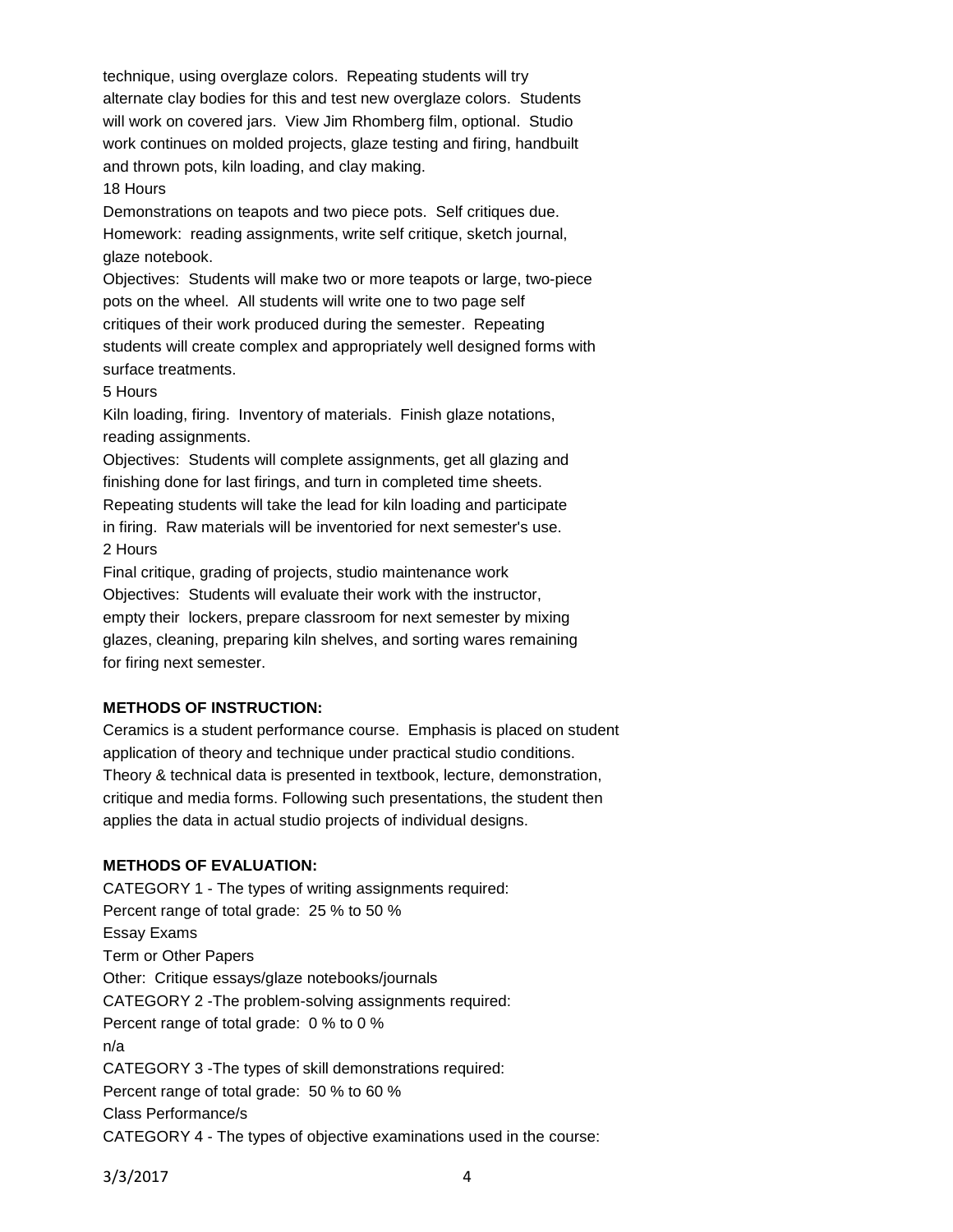technique, using overglaze colors. Repeating students will try alternate clay bodies for this and test new overglaze colors. Students will work on covered jars. View Jim Rhomberg film, optional. Studio work continues on molded projects, glaze testing and firing, handbuilt and thrown pots, kiln loading, and clay making.

### 18 Hours

Demonstrations on teapots and two piece pots. Self critiques due. Homework: reading assignments, write self critique, sketch journal, glaze notebook.

Objectives: Students will make two or more teapots or large, two-piece pots on the wheel. All students will write one to two page self critiques of their work produced during the semester. Repeating students will create complex and appropriately well designed forms with surface treatments.

### 5 Hours

Kiln loading, firing. Inventory of materials. Finish glaze notations, reading assignments.

Objectives: Students will complete assignments, get all glazing and finishing done for last firings, and turn in completed time sheets. Repeating students will take the lead for kiln loading and participate in firing. Raw materials will be inventoried for next semester's use. 2 Hours

Final critique, grading of projects, studio maintenance work Objectives: Students will evaluate their work with the instructor, empty their lockers, prepare classroom for next semester by mixing glazes, cleaning, preparing kiln shelves, and sorting wares remaining for firing next semester.

## **METHODS OF INSTRUCTION:**

Ceramics is a student performance course. Emphasis is placed on student application of theory and technique under practical studio conditions. Theory & technical data is presented in textbook, lecture, demonstration, critique and media forms. Following such presentations, the student then applies the data in actual studio projects of individual designs.

## **METHODS OF EVALUATION:**

CATEGORY 1 - The types of writing assignments required: Percent range of total grade: 25 % to 50 % Essay Exams Term or Other Papers Other: Critique essays/glaze notebooks/journals CATEGORY 2 -The problem-solving assignments required: Percent range of total grade: 0 % to 0 % n/a CATEGORY 3 -The types of skill demonstrations required: Percent range of total grade: 50 % to 60 % Class Performance/s CATEGORY 4 - The types of objective examinations used in the course:

3/3/2017 4